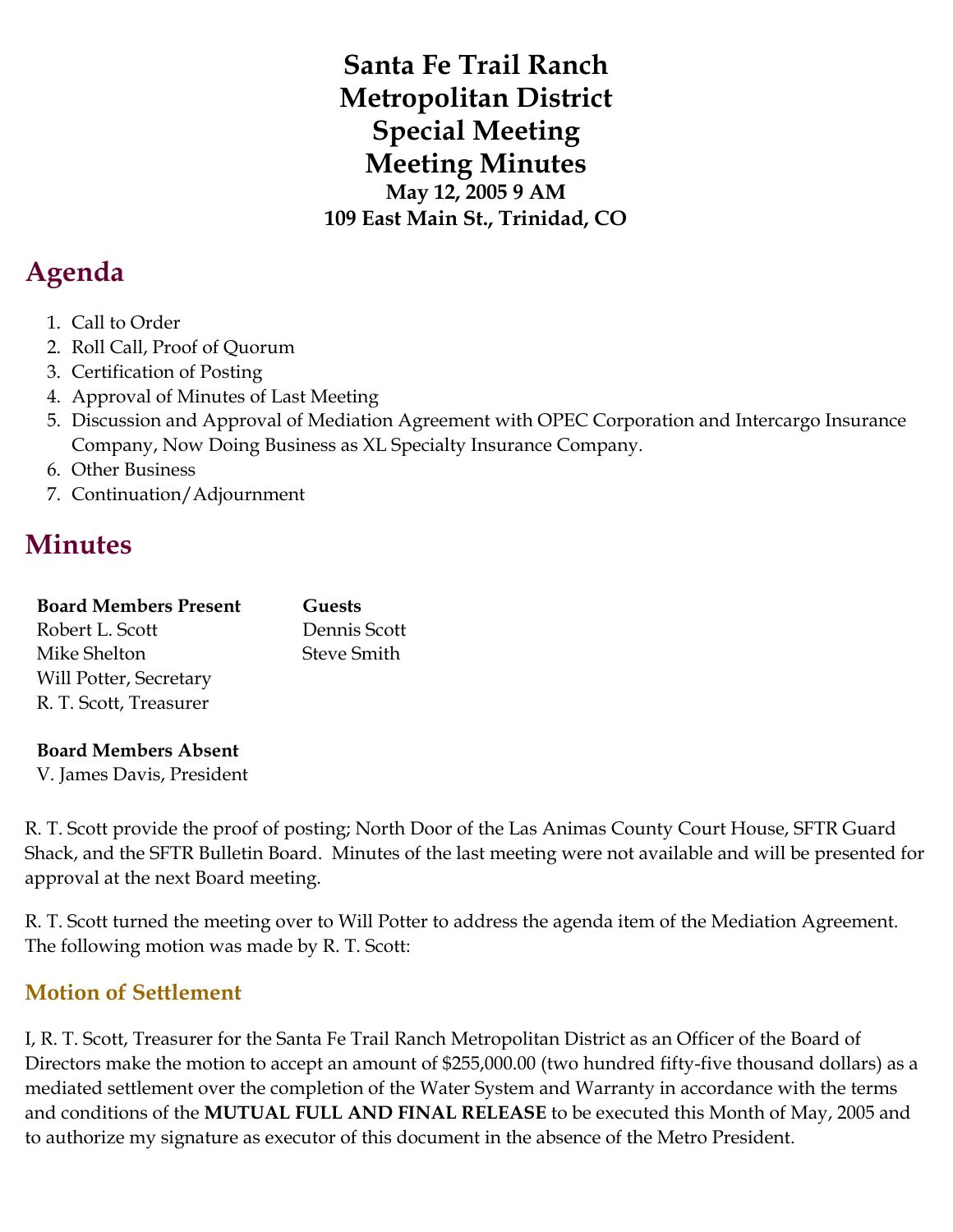**Santa Fe Trail Ranch Metropolitan District Special Meeting Meeting Minutes May 12, 2005 9 AM 109 East Main St., Trinidad, CO**

# **Agenda**

- 1. Call to Order
- 2. Roll Call, Proof of Quorum
- 3. Certification of Posting
- 4. Approval of Minutes of Last Meeting
- 5. Discussion and Approval of Mediation Agreement with OPEC Corporation and Intercargo Insurance Company, Now Doing Business as XL Specialty Insurance Company.
- 6. Other Business
- 7. Continuation/Adjournment

# **Minutes**

| <b>Board Members Present</b> | Guests             |
|------------------------------|--------------------|
| Robert L. Scott              | Dennis Scott       |
| Mike Shelton                 | <b>Steve Smith</b> |
| Will Potter, Secretary       |                    |
| R. T. Scott, Treasurer       |                    |

### **Board Members Absent**

V. James Davis, President

R. T. Scott provide the proof of posting; North Door of the Las Animas County Court House, SFTR Guard Shack, and the SFTR Bulletin Board. Minutes of the last meeting were not available and will be presented for approval at the next Board meeting.

R. T. Scott turned the meeting over to Will Potter to address the agenda item of the Mediation Agreement. The following motion was made by R. T. Scott:

# **Motion of Settlement**

I, R. T. Scott, Treasurer for the Santa Fe Trail Ranch Metropolitan District as an Officer of the Board of Directors make the motion to accept an amount of \$255,000.00 (two hundred fifty-five thousand dollars) as a mediated settlement over the completion of the Water System and Warranty in accordance with the terms and conditions of the **MUTUAL FULL AND FINAL RELEASE** to be executed this Month of May, 2005 and to authorize my signature as executor of this document in the absence of the Metro President.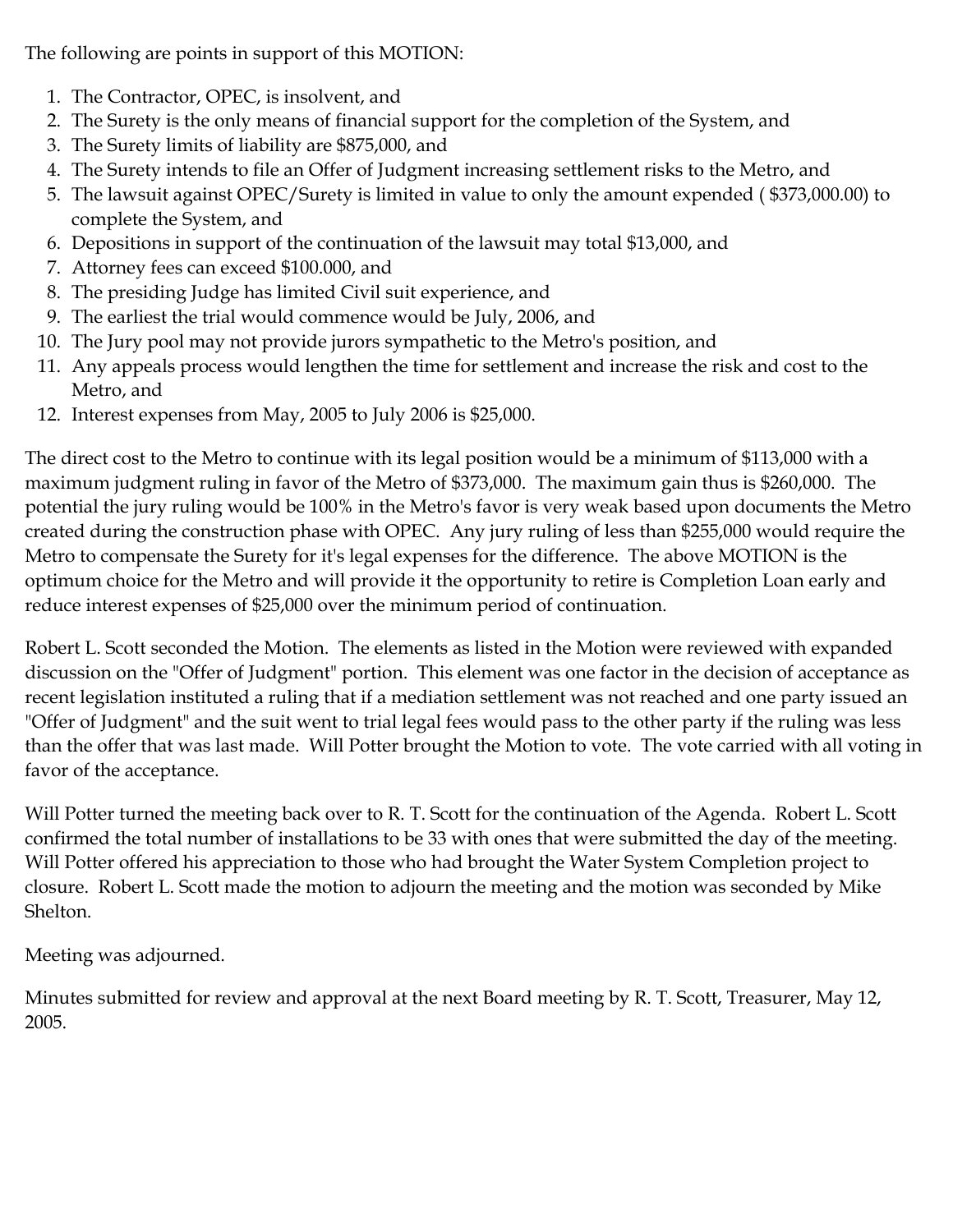The following are points in support of this MOTION:

- 1. The Contractor, OPEC, is insolvent, and
- 2. The Surety is the only means of financial support for the completion of the System, and
- 3. The Surety limits of liability are \$875,000, and
- 4. The Surety intends to file an Offer of Judgment increasing settlement risks to the Metro, and
- 5. The lawsuit against OPEC/Surety is limited in value to only the amount expended ( \$373,000.00) to complete the System, and
- 6. Depositions in support of the continuation of the lawsuit may total \$13,000, and
- 7. Attorney fees can exceed \$100.000, and
- 8. The presiding Judge has limited Civil suit experience, and
- 9. The earliest the trial would commence would be July, 2006, and
- 10. The Jury pool may not provide jurors sympathetic to the Metro's position, and
- 11. Any appeals process would lengthen the time for settlement and increase the risk and cost to the Metro, and
- 12. Interest expenses from May, 2005 to July 2006 is \$25,000.

The direct cost to the Metro to continue with its legal position would be a minimum of \$113,000 with a maximum judgment ruling in favor of the Metro of \$373,000. The maximum gain thus is \$260,000. The potential the jury ruling would be 100% in the Metro's favor is very weak based upon documents the Metro created during the construction phase with OPEC. Any jury ruling of less than \$255,000 would require the Metro to compensate the Surety for it's legal expenses for the difference. The above MOTION is the optimum choice for the Metro and will provide it the opportunity to retire is Completion Loan early and reduce interest expenses of \$25,000 over the minimum period of continuation.

Robert L. Scott seconded the Motion. The elements as listed in the Motion were reviewed with expanded discussion on the "Offer of Judgment" portion. This element was one factor in the decision of acceptance as recent legislation instituted a ruling that if a mediation settlement was not reached and one party issued an "Offer of Judgment" and the suit went to trial legal fees would pass to the other party if the ruling was less than the offer that was last made. Will Potter brought the Motion to vote. The vote carried with all voting in favor of the acceptance.

Will Potter turned the meeting back over to R. T. Scott for the continuation of the Agenda. Robert L. Scott confirmed the total number of installations to be 33 with ones that were submitted the day of the meeting. Will Potter offered his appreciation to those who had brought the Water System Completion project to closure. Robert L. Scott made the motion to adjourn the meeting and the motion was seconded by Mike Shelton.

Meeting was adjourned.

Minutes submitted for review and approval at the next Board meeting by R. T. Scott, Treasurer, May 12, 2005.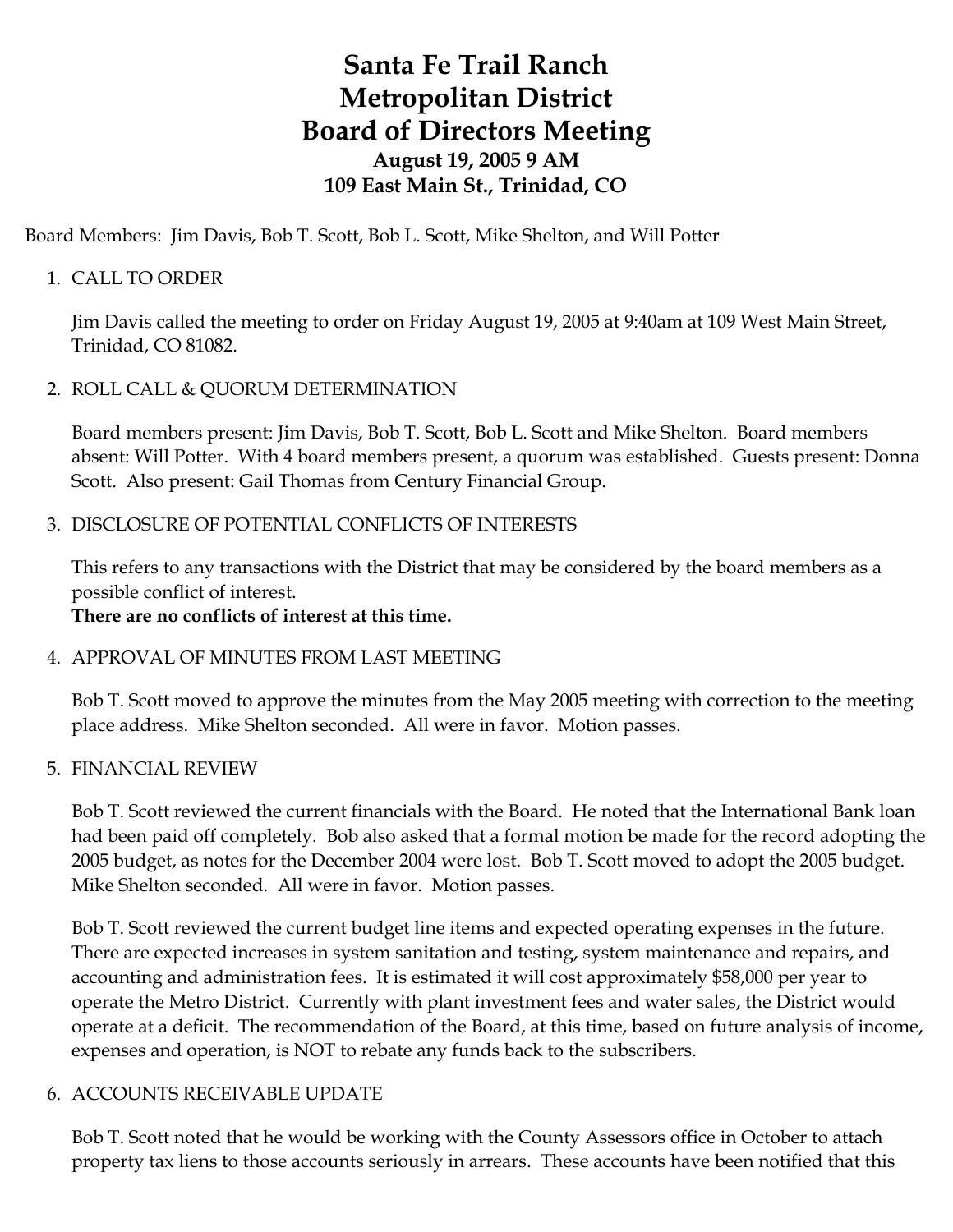# **Santa Fe Trail Ranch Metropolitan District Board of Directors Meeting August 19, 2005 9 AM 109 East Main St., Trinidad, CO**

Board Members: Jim Davis, Bob T. Scott, Bob L. Scott, Mike Shelton, and Will Potter

# 1. CALL TO ORDER

Jim Davis called the meeting to order on Friday August 19, 2005 at 9:40am at 109 West Main Street, Trinidad, CO 81082.

### 2. ROLL CALL & QUORUM DETERMINATION

Board members present: Jim Davis, Bob T. Scott, Bob L. Scott and Mike Shelton. Board members absent: Will Potter. With 4 board members present, a quorum was established. Guests present: Donna Scott. Also present: Gail Thomas from Century Financial Group.

### 3. DISCLOSURE OF POTENTIAL CONFLICTS OF INTERESTS

This refers to any transactions with the District that may be considered by the board members as a possible conflict of interest.

# **There are no conflicts of interest at this time.**

# 4. APPROVAL OF MINUTES FROM LAST MEETING

Bob T. Scott moved to approve the minutes from the May 2005 meeting with correction to the meeting place address. Mike Shelton seconded. All were in favor. Motion passes.

### 5. FINANCIAL REVIEW

Bob T. Scott reviewed the current financials with the Board. He noted that the International Bank loan had been paid off completely. Bob also asked that a formal motion be made for the record adopting the 2005 budget, as notes for the December 2004 were lost. Bob T. Scott moved to adopt the 2005 budget. Mike Shelton seconded. All were in favor. Motion passes.

Bob T. Scott reviewed the current budget line items and expected operating expenses in the future. There are expected increases in system sanitation and testing, system maintenance and repairs, and accounting and administration fees. It is estimated it will cost approximately \$58,000 per year to operate the Metro District. Currently with plant investment fees and water sales, the District would operate at a deficit. The recommendation of the Board, at this time, based on future analysis of income, expenses and operation, is NOT to rebate any funds back to the subscribers.

# 6. ACCOUNTS RECEIVABLE UPDATE

Bob T. Scott noted that he would be working with the County Assessors office in October to attach property tax liens to those accounts seriously in arrears. These accounts have been notified that this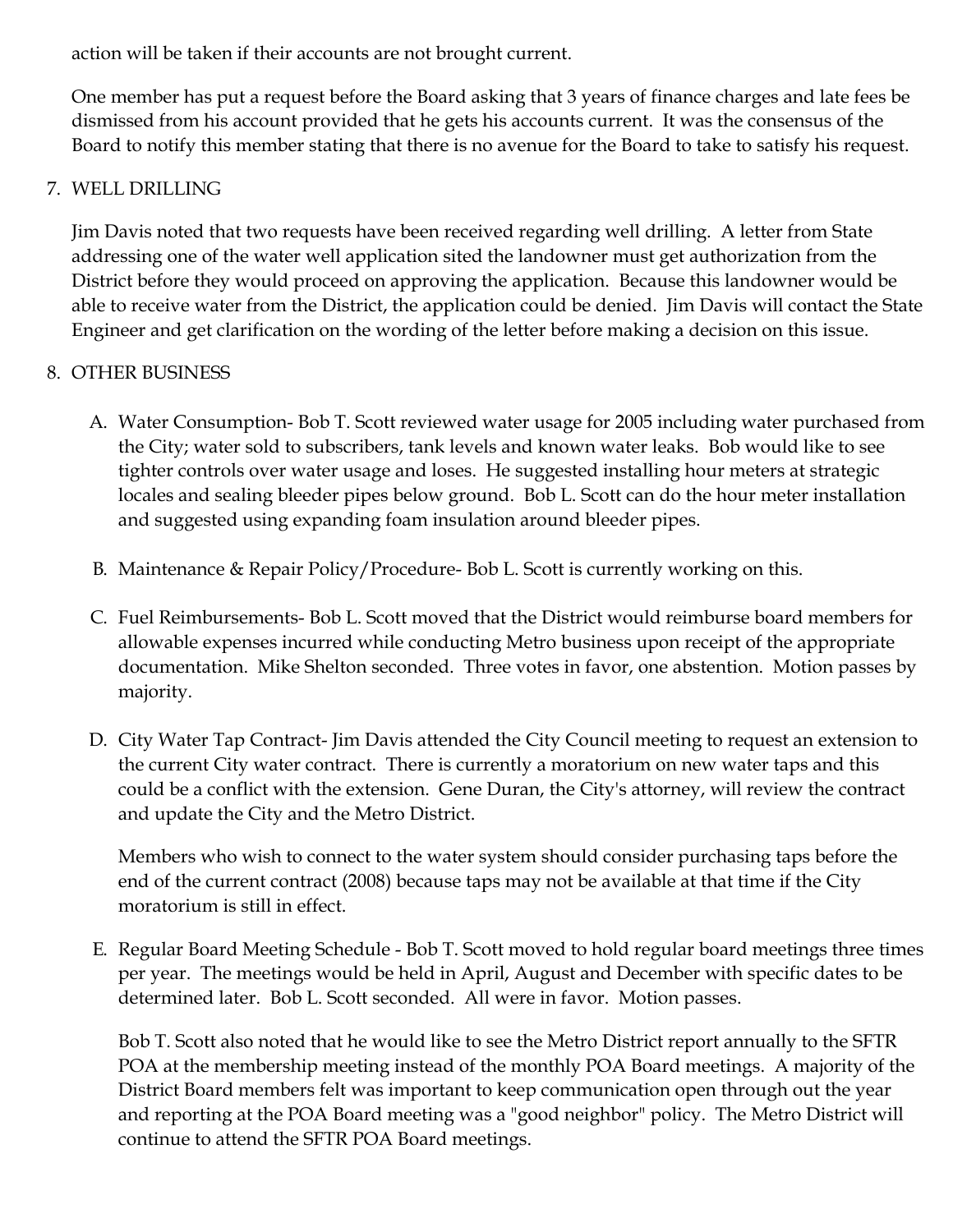action will be taken if their accounts are not brought current.

One member has put a request before the Board asking that 3 years of finance charges and late fees be dismissed from his account provided that he gets his accounts current. It was the consensus of the Board to notify this member stating that there is no avenue for the Board to take to satisfy his request.

# 7. WELL DRILLING

Jim Davis noted that two requests have been received regarding well drilling. A letter from State addressing one of the water well application sited the landowner must get authorization from the District before they would proceed on approving the application. Because this landowner would be able to receive water from the District, the application could be denied. Jim Davis will contact the State Engineer and get clarification on the wording of the letter before making a decision on this issue.

# 8. OTHER BUSINESS

- A. Water Consumption- Bob T. Scott reviewed water usage for 2005 including water purchased from the City; water sold to subscribers, tank levels and known water leaks. Bob would like to see tighter controls over water usage and loses. He suggested installing hour meters at strategic locales and sealing bleeder pipes below ground. Bob L. Scott can do the hour meter installation and suggested using expanding foam insulation around bleeder pipes.
- B. Maintenance & Repair Policy/Procedure- Bob L. Scott is currently working on this.
- C. Fuel Reimbursements- Bob L. Scott moved that the District would reimburse board members for allowable expenses incurred while conducting Metro business upon receipt of the appropriate documentation. Mike Shelton seconded. Three votes in favor, one abstention. Motion passes by majority.
- D. City Water Tap Contract- Jim Davis attended the City Council meeting to request an extension to the current City water contract. There is currently a moratorium on new water taps and this could be a conflict with the extension. Gene Duran, the City's attorney, will review the contract and update the City and the Metro District.

Members who wish to connect to the water system should consider purchasing taps before the end of the current contract (2008) because taps may not be available at that time if the City moratorium is still in effect.

E. Regular Board Meeting Schedule - Bob T. Scott moved to hold regular board meetings three times per year. The meetings would be held in April, August and December with specific dates to be determined later. Bob L. Scott seconded. All were in favor. Motion passes.

Bob T. Scott also noted that he would like to see the Metro District report annually to the SFTR POA at the membership meeting instead of the monthly POA Board meetings. A majority of the District Board members felt was important to keep communication open through out the year and reporting at the POA Board meeting was a "good neighbor" policy. The Metro District will continue to attend the SFTR POA Board meetings.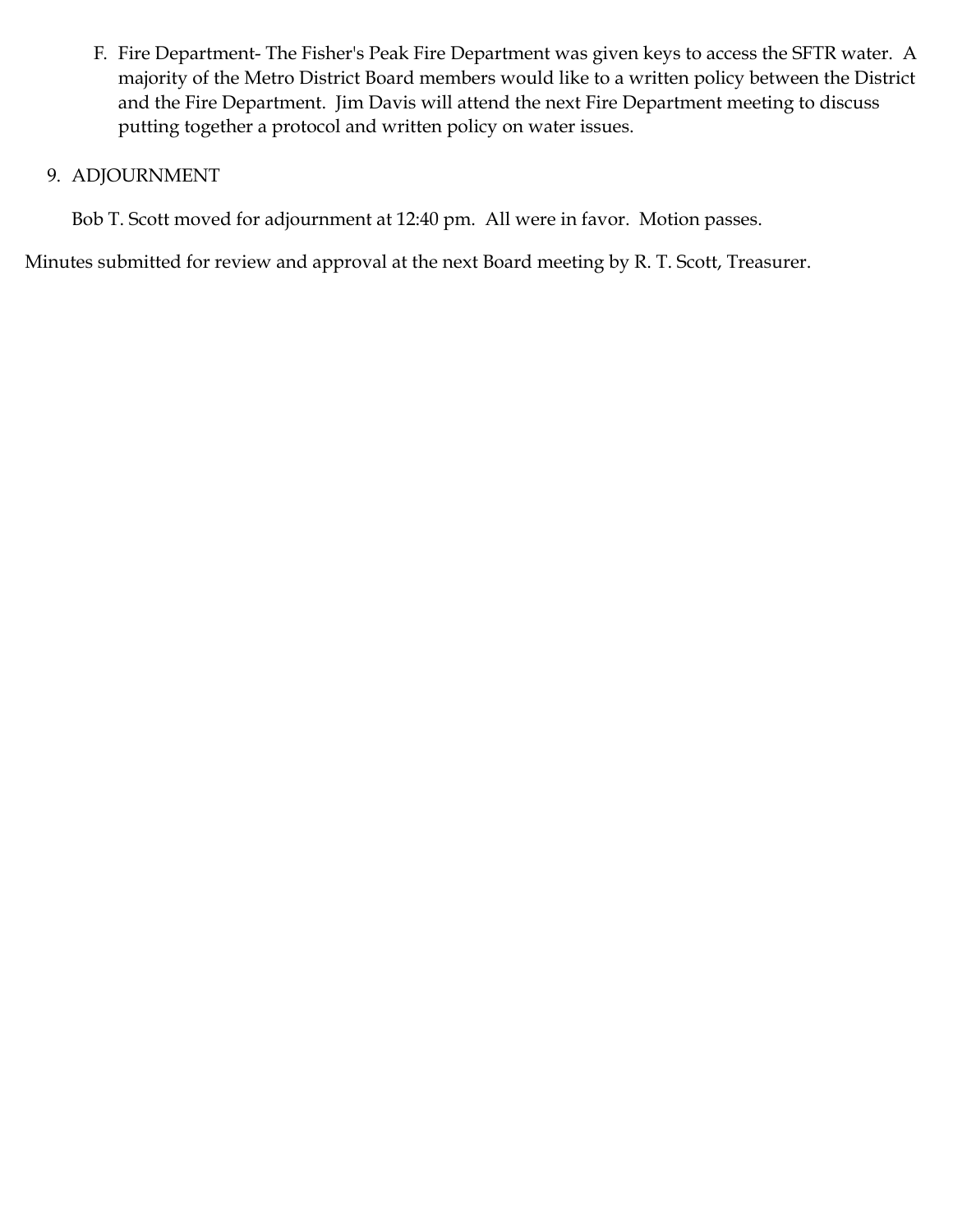F. Fire Department- The Fisher's Peak Fire Department was given keys to access the SFTR water. A majority of the Metro District Board members would like to a written policy between the District and the Fire Department. Jim Davis will attend the next Fire Department meeting to discuss putting together a protocol and written policy on water issues.

### 9. ADJOURNMENT

Bob T. Scott moved for adjournment at 12:40 pm. All were in favor. Motion passes.

Minutes submitted for review and approval at the next Board meeting by R. T. Scott, Treasurer.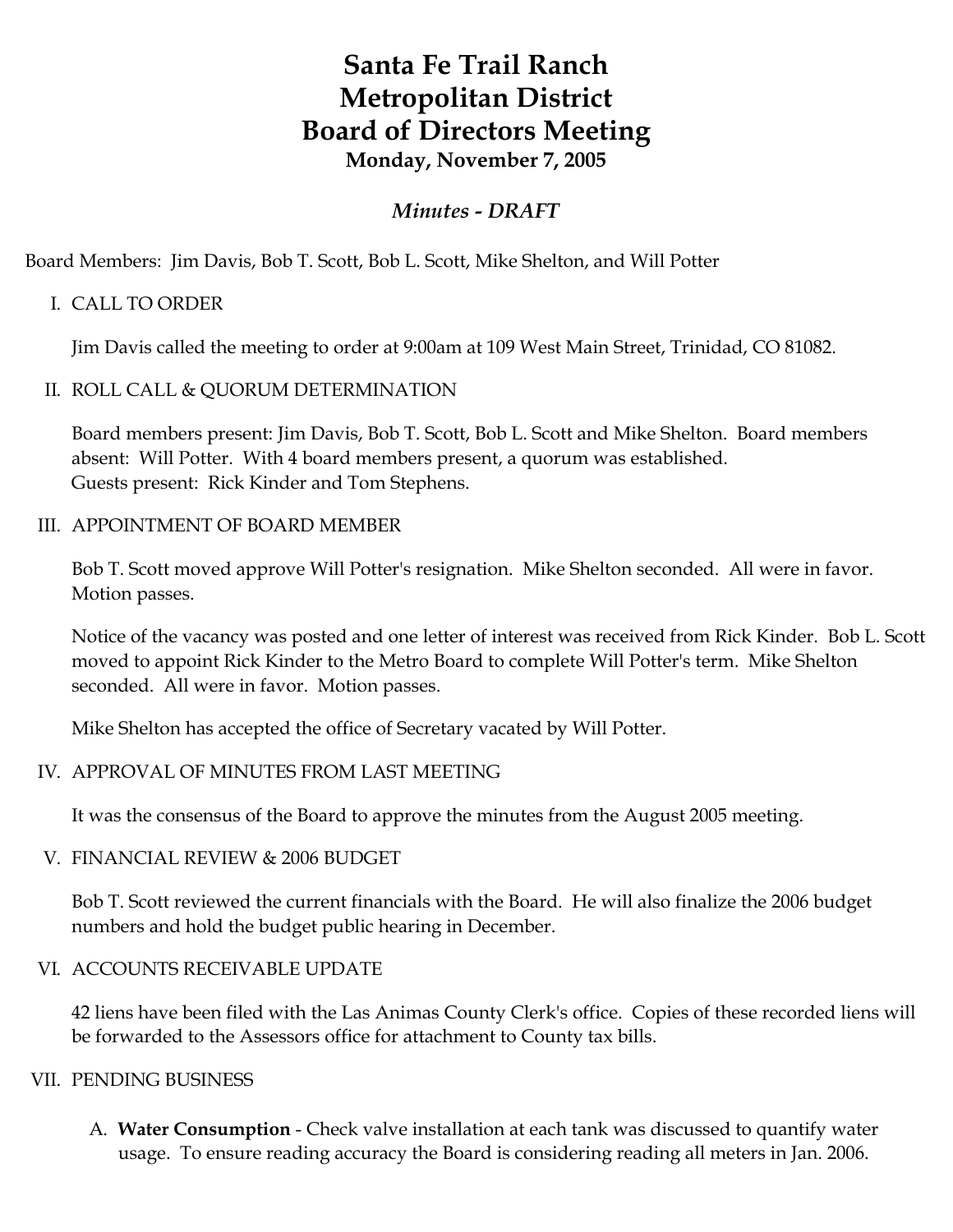# **Santa Fe Trail Ranch Metropolitan District Board of Directors Meeting Monday, November 7, 2005**

# *Minutes - DRAFT*

Board Members: Jim Davis, Bob T. Scott, Bob L. Scott, Mike Shelton, and Will Potter

# I. CALL TO ORDER

Jim Davis called the meeting to order at 9:00am at 109 West Main Street, Trinidad, CO 81082.

### II. ROLL CALL & QUORUM DETERMINATION

Board members present: Jim Davis, Bob T. Scott, Bob L. Scott and Mike Shelton. Board members absent: Will Potter. With 4 board members present, a quorum was established. Guests present: Rick Kinder and Tom Stephens.

### III. APPOINTMENT OF BOARD MEMBER

Bob T. Scott moved approve Will Potter's resignation. Mike Shelton seconded. All were in favor. Motion passes.

Notice of the vacancy was posted and one letter of interest was received from Rick Kinder. Bob L. Scott moved to appoint Rick Kinder to the Metro Board to complete Will Potter's term. Mike Shelton seconded. All were in favor. Motion passes.

Mike Shelton has accepted the office of Secretary vacated by Will Potter.

# IV. APPROVAL OF MINUTES FROM LAST MEETING

It was the consensus of the Board to approve the minutes from the August 2005 meeting.

### V. FINANCIAL REVIEW & 2006 BUDGET

Bob T. Scott reviewed the current financials with the Board. He will also finalize the 2006 budget numbers and hold the budget public hearing in December.

### VI. ACCOUNTS RECEIVABLE UPDATE

42 liens have been filed with the Las Animas County Clerk's office. Copies of these recorded liens will be forwarded to the Assessors office for attachment to County tax bills.

### VII. PENDING BUSINESS

A. **Water Consumption** - Check valve installation at each tank was discussed to quantify water usage. To ensure reading accuracy the Board is considering reading all meters in Jan. 2006.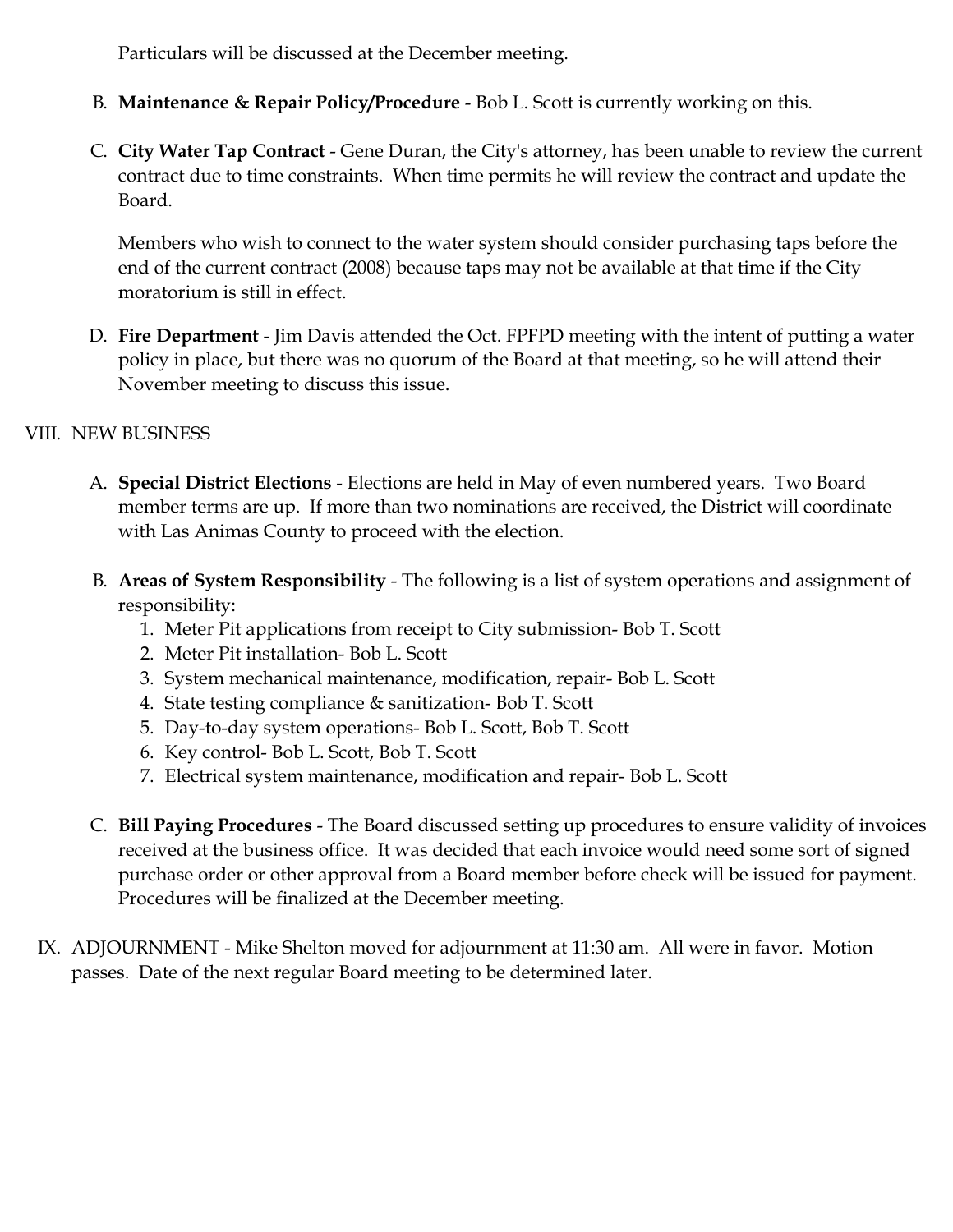Particulars will be discussed at the December meeting.

- B. **Maintenance & Repair Policy/Procedure** Bob L. Scott is currently working on this.
- C. **City Water Tap Contract** Gene Duran, the City's attorney, has been unable to review the current contract due to time constraints. When time permits he will review the contract and update the Board.

Members who wish to connect to the water system should consider purchasing taps before the end of the current contract (2008) because taps may not be available at that time if the City moratorium is still in effect.

D. **Fire Department** - Jim Davis attended the Oct. FPFPD meeting with the intent of putting a water policy in place, but there was no quorum of the Board at that meeting, so he will attend their November meeting to discuss this issue.

# VIII. NEW BUSINESS

- A. **Special District Elections** Elections are held in May of even numbered years. Two Board member terms are up. If more than two nominations are received, the District will coordinate with Las Animas County to proceed with the election.
- B. **Areas of System Responsibility** The following is a list of system operations and assignment of responsibility:
	- 1. Meter Pit applications from receipt to City submission- Bob T. Scott
	- 2. Meter Pit installation- Bob L. Scott
	- 3. System mechanical maintenance, modification, repair- Bob L. Scott
	- 4. State testing compliance & sanitization- Bob T. Scott
	- 5. Day-to-day system operations- Bob L. Scott, Bob T. Scott
	- 6. Key control- Bob L. Scott, Bob T. Scott
	- 7. Electrical system maintenance, modification and repair- Bob L. Scott
- C. **Bill Paying Procedures** The Board discussed setting up procedures to ensure validity of invoices received at the business office. It was decided that each invoice would need some sort of signed purchase order or other approval from a Board member before check will be issued for payment. Procedures will be finalized at the December meeting.
- IX. ADJOURNMENT Mike Shelton moved for adjournment at 11:30 am. All were in favor. Motion passes. Date of the next regular Board meeting to be determined later.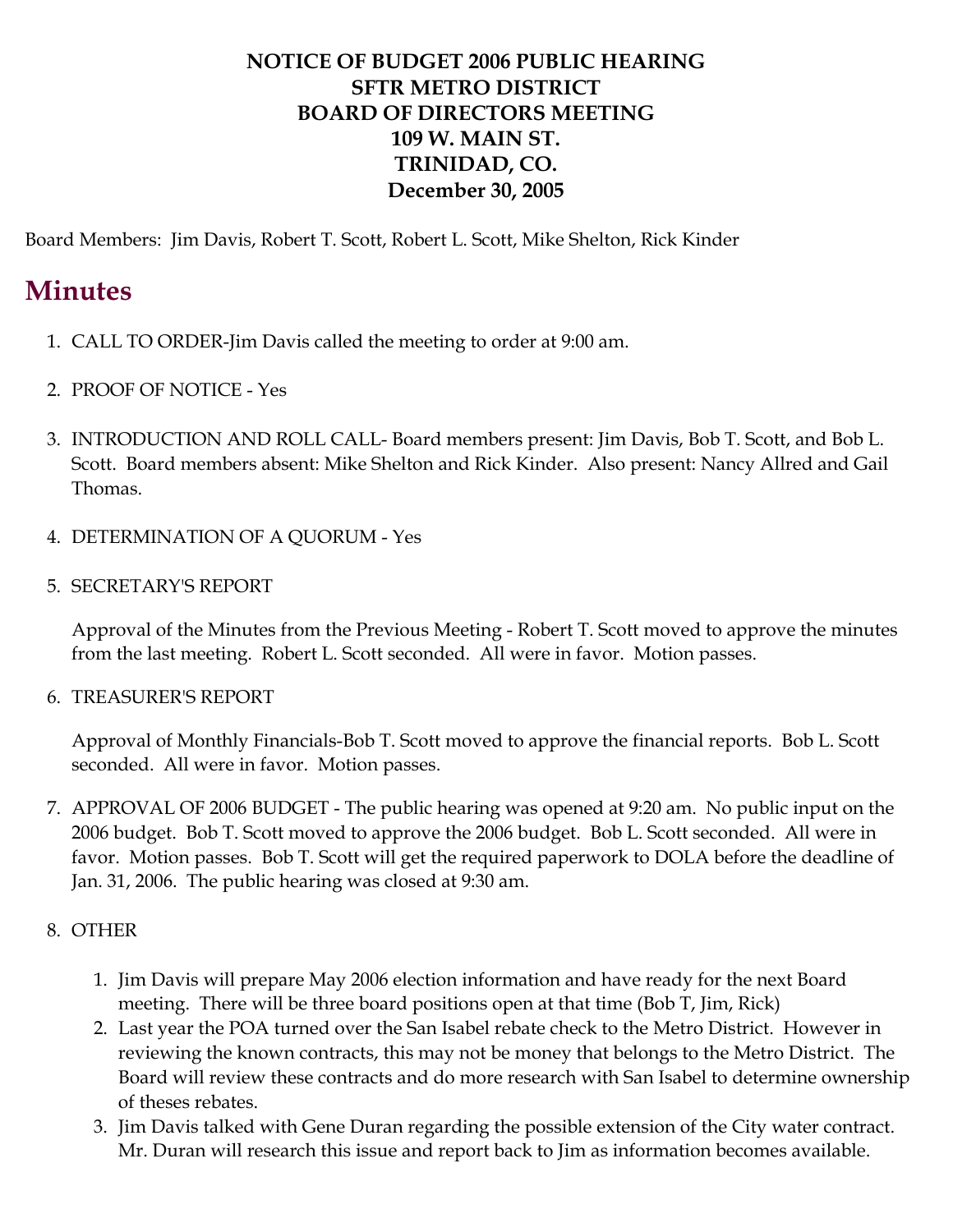# **NOTICE OF BUDGET 2006 PUBLIC HEARING SFTR METRO DISTRICT BOARD OF DIRECTORS MEETING 109 W. MAIN ST. TRINIDAD, CO. December 30, 2005**

Board Members: Jim Davis, Robert T. Scott, Robert L. Scott, Mike Shelton, Rick Kinder

# **Minutes**

- 1. CALL TO ORDER-Jim Davis called the meeting to order at 9:00 am.
- 2. PROOF OF NOTICE Yes
- 3. INTRODUCTION AND ROLL CALL- Board members present: Jim Davis, Bob T. Scott, and Bob L. Scott. Board members absent: Mike Shelton and Rick Kinder. Also present: Nancy Allred and Gail Thomas.
- 4. DETERMINATION OF A QUORUM Yes
- 5. SECRETARY'S REPORT

Approval of the Minutes from the Previous Meeting - Robert T. Scott moved to approve the minutes from the last meeting. Robert L. Scott seconded. All were in favor. Motion passes.

6. TREASURER'S REPORT

Approval of Monthly Financials-Bob T. Scott moved to approve the financial reports. Bob L. Scott seconded. All were in favor. Motion passes.

7. APPROVAL OF 2006 BUDGET - The public hearing was opened at 9:20 am. No public input on the 2006 budget. Bob T. Scott moved to approve the 2006 budget. Bob L. Scott seconded. All were in favor. Motion passes. Bob T. Scott will get the required paperwork to DOLA before the deadline of Jan. 31, 2006. The public hearing was closed at 9:30 am.

### 8. OTHER

- 1. Jim Davis will prepare May 2006 election information and have ready for the next Board meeting. There will be three board positions open at that time (Bob T, Jim, Rick)
- 2. Last year the POA turned over the San Isabel rebate check to the Metro District. However in reviewing the known contracts, this may not be money that belongs to the Metro District. The Board will review these contracts and do more research with San Isabel to determine ownership of theses rebates.
- 3. Jim Davis talked with Gene Duran regarding the possible extension of the City water contract. Mr. Duran will research this issue and report back to Jim as information becomes available.